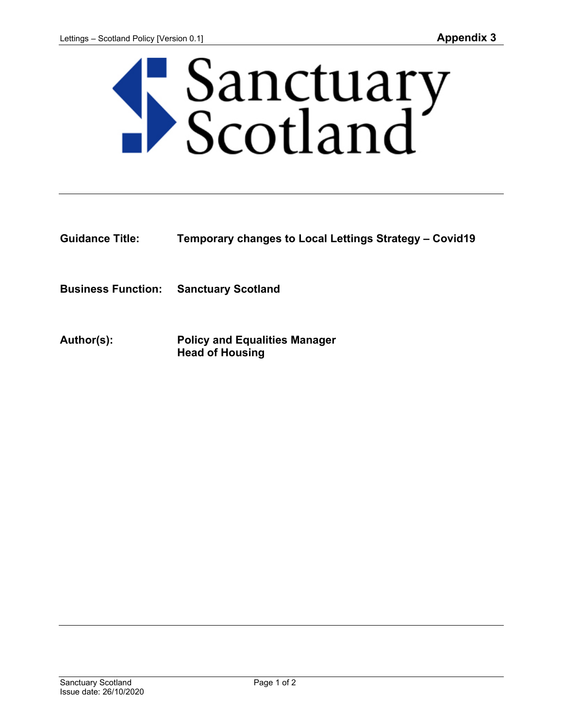

**Guidance Title: Temporary changes to Local Lettings Strategy – Covid19**

**Business Function: Sanctuary Scotland**

**Author(s): Policy and Equalities Manager Head of Housing**